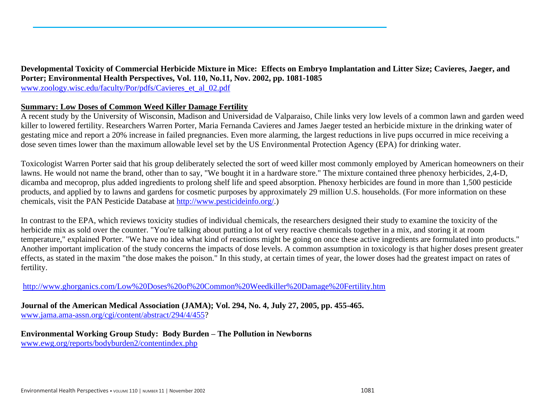**Developmental Toxicity of Commercial Herbicide Mixture in Mice: Effects on Embryo Implantation and Litter Size; Cavieres, Jaeger, and Porter; Environmental Health Perspectives, Vol. 110, No.11, Nov. 2002, pp. 1081-1085** [www.zoology.wisc.edu/faculty/Por/pdfs/Cavieres\\_et\\_al\\_02.pdf](http://www.zoology.wisc.edu/faculty/Por/pdfs/Cavieres%1f_et_al_02.pdf)

# **Summary: Low Doses of Common Weed Killer Damage Fertility**

A recent study by the University of Wisconsin, Madison and Universidad de Valparaiso, Chile links very low levels of a common lawn and garden weed killer to lowered fertility. Researchers Warren Porter, Maria Fernanda Cavieres and James Jaeger tested an herbicide mixture in the drinking water of gestating mice and report a 20% increase in failed pregnancies. Even more alarming, the largest reductions in live pups occurred in mice receiving a dose seven times lower than the maximum allowable level set by the US Environmental Protection Agency (EPA) for drinking water.

Toxicologist Warren Porter said that his group deliberately selected the sort of weed killer most commonly employed by American homeowners on their lawns. He would not name the brand, other than to say, "We bought it in a hardware store." The mixture contained three phenoxy herbicides, 2,4-D, dicamba and mecoprop, plus added ingredients to prolong shelf life and speed absorption. Phenoxy herbicides are found in more than 1,500 pesticide products, and applied by to lawns and gardens for cosmetic purposes by approximately 29 million U.S. households. (For more information on these chemicals, visit the PAN Pesticide Database at [http://www.pesticideinfo.org/.](http://www.pesticideinfo.org/))

In contrast to the EPA, which reviews toxicity studies of individual chemicals, the researchers designed their study to examine the toxicity of the herbicide mix as sold over the counter. "You're talking about putting a lot of very reactive chemicals together in a mix, and storing it at room temperature," explained Porter. "We have no idea what kind of reactions might be going on once these active ingredients are formulated into products." Another important implication of the study concerns the impacts of dose levels. A common assumption in toxicology is that higher doses present greater effects, as stated in the maxim "the dose makes the poison." In this study, at certain times of year, the lower doses had the greatest impact on rates of fertility.

<http://www.ghorganics.com/Low%20Doses%20of%20Common%20Weedkiller%20Damage%20Fertility.htm>

**Journal of the American Medical Association (JAMA); Vol. 294, No. 4, July 27, 2005, pp. 455-465.** [www.jama.ama-assn.org/cgi/content/abstract/294/4/455?](http://www.jama.ama-assn.org/cgi/content/abstract/294/4/455)

**Environmental Working Group Study: Body Burden – The Pollution in Newborns** [www.ewg.org/reports/bodyburden2/contentindex.php](http://www.ewg.org/reports/bodyburden2/contentindex.php)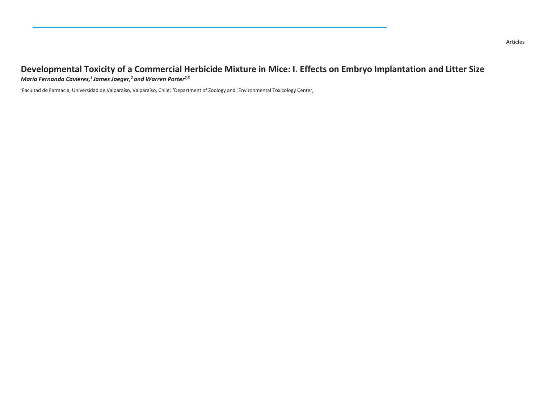# **Developmental Toxicity of a Commercial Herbicide Mixture in Mice: I. Effects on Embryo Implantation and Litter Size** *María Fernanda Cavieres,<sup>1</sup>James Jaeger,<sup>2</sup>and Warren Porter2,3*

1Facultad de Farmacia, Universidad de Valparaíso, Valparaíso, Chile; 2Department of Zoology and 3Environmental Toxicology Center,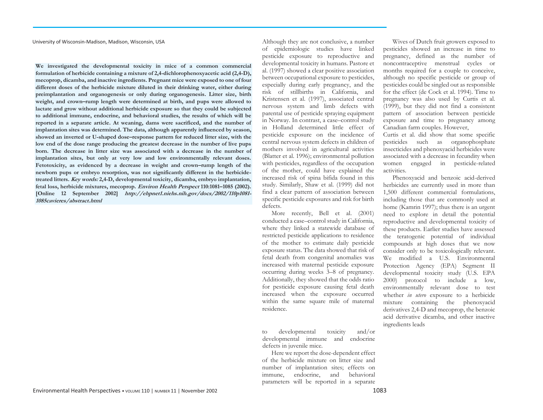University of Wisconsin-Madison, Madison, Wisconsin, USA

**We investigated the developmental toxicity in mice of a common commercial formulation of herbicide containing a mixture of 2,4-dichlorophenoxyacetic acid (2,4-D), mecoprop, dicamba, and inactive ingredients. Pregnant mice were exposed to one of four different doses of the herbicide mixture diluted in their drinking water, either during preimplantation and organogenesis or only during organogenesis. Litter size, birth weight, and crown–rump length were determined at birth, and pups were allowed to lactate and grow without additional herbicide exposure so that they could be subjected to additional immune, endocrine, and behavioral studies, the results of which will be reported in a separate article. At weaning, dams were sacrificed, and the number of implantation sites was determined. The data, although apparently influenced by season, showed an inverted or U-shaped dose–response pattern for reduced litter size, with the low end of the dose range producing the greatest decrease in the number of live pups born. The decrease in litter size was associated with a decrease in the number of implantation sites, but only at very low and low environmentally relevant doses. Fetotoxicity, as evidenced by a decrease in weight and crown–rump length of the newborn pups or embryo resorption, was not significantly different in the herbicidetreated litters. Key words: 2,4-D, developmental toxicity, dicamba, embryo implantation, fetal loss, herbicide mixtures, mecoprop. Environ Health Perspect 110:1081–1085 (2002). [Online 12 September 2002] http://ehpnet1.niehs.nih.gov/docs/2002/110p1081- 1085cavieres/abstract.html**

Although they are not conclusive, a number of epidemiologic studies have linked pesticide exposure to reproductive and developmental toxicity in humans. Pastore et al. (1997) showed a clear positive association between occupational exposure to pesticides, especially during early pregnancy, and the risk of stillbirths in California, and Kristensen et al. (1997), associated central nervous system and limb defects with parental use of pesticide spraying equipment in Norway. In contrast, a case–control study in Holland determined little effect of pesticide exposure on the incidence of central nervous system defects in children of mothers involved in agricultural activities (Blatter et al. 1996); environmental pollution with pesticides, regardless of the occupation of the mother, could have explained the increased risk of spina bifida found in this study. Similarly, Shaw et al. (1999) did not find a clear pattern of association between specific pesticide exposures and risk for birth defects.

More recently, Bell et al. (2001) conducted a case–control study in California, where they linked a statewide database of restricted pesticide applications to residence of the mother to estimate daily pesticide exposure status. The data showed that risk of fetal death from congenital anomalies was increased with maternal pesticide exposure occurring during weeks 3–8 of pregnancy. Additionally, they showed that the odds ratio for pesticide exposure causing fetal death increased when the exposure occurred within the same square mile of maternal residence.

to developmental toxicity and/or developmental immune and endocrine defects in juvenile mice.

Here we report the dose-dependent effect of the herbicide mixture on litter size and number of implantation sites; effects on immune, endocrine, and behavioral parameters will be reported in a separate

Wives of Dutch fruit growers exposed to pesticides showed an increase in time to pregnancy, defined as the number of noncontraceptive menstrual cycles or months required for a couple to conceive, although no specific pesticide or group of pesticides could be singled out as responsible for the effect (de Cock et al. 1994). Time to pregnancy was also used by Curtis et al. (1999), but they did not find a consistent pattern of association between pesticide exposure and time to pregnancy among Canadian farm couples. However,

Curtis et al. did show that some specific pesticides such as organophosphate insecticides and phenoxyacid herbicides were associated with a decrease in fecundity when women engaged in pesticide-related activities.

Phenoxyacid and benzoic acid-derived herbicides are currently used in more than 1,500 different commercial formulations, including those that are commonly used at home (Kamrin 1997); thus there is an urgent need to explore in detail the potential reproductive and developmental toxicity of these products. Earlier studies have assessed the teratogenic potential of individual compounds at high doses that we now consider only to be toxicologically relevant. We modified a U.S. Environmental Protection Agency (EPA) Segment II developmental toxicity study (U.S. EPA 2000) protocol to include a low, environmentally relevant dose to test whether *in utero* exposure to a herbicide mixture containing the phenoxyacid derivatives 2,4-D and mecoprop, the benzoic acid derivative dicamba, and other inactive ingredients leads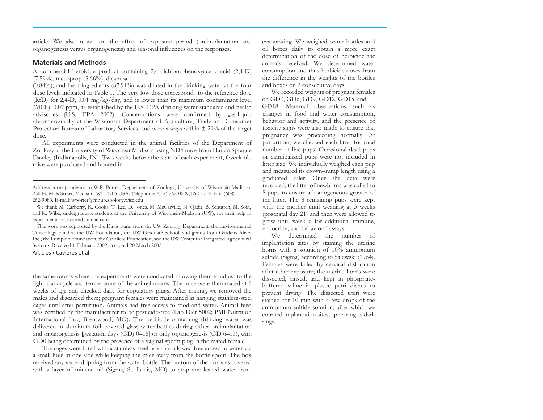article. We also report on the effect of exposure period (preimplantation and organogenesis versus organogenesis) and seasonal influences on the responses.

#### **Materials and Methods**

A commercial herbicide product containing 2,4-dichlorophenoxyacetic acid (2,4-D)  $(7.59\%)$ , mecoprop  $(3.66\%)$ , dicamba

(0.84%), and inert ingredients (87.91%) was diluted in the drinking water at the four dose levels indicated in Table 1. The very low dose corresponds to the reference dose (RfD) for 2,4-D, 0.01 mg/kg/day, and is lower than its maximum contaminant level (MCL), 0.07 ppm, as established by the U.S. EPA drinking water standards and health advisories (U.S. EPA 2002). Concentrations were confirmed by gas-liquid chromatography at the Wisconsin Department of Agriculture, Trade and Consumer Protection Bureau of Laboratory Services, and were always within  $\pm$  20% of the target dose.

All experiments were conducted in the animal facilities of the Department of Zoology at the University of WisconsinMadison using ND4 mice from Harlan Sprague Dawley (Indianapolis, IN). Two weeks before the start of each experiment, 6week-old mice were purchased and housed in

This work was supported by the Davis Fund from the UW Zoology Department, the Environmental Toxicology Fund at the UW Foundation, the UW Graduate School, and grants from Gardens Alive, Inc., the Lumpkin Foundation, the Cavaliere Foundation, and the UW Center for Integrated Agricultural Systems. Received 1 February 2002; accepted 20 March 2002.

#### Articles • Cavieres et al.

the same rooms where the experiments were conducted, allowing them to adjust to the light–dark cycle and temperature of the animal rooms. The mice were then mated at 8 weeks of age and checked daily for copulatory plugs. After mating, we removed the males and discarded them; pregnant females were maintained in hanging stainless-steel cages until after parturition. Animals had free access to food and water. Animal feed was certified by the manufacturer to be pesticide-free (Lab Diet 5002; PMI Nutrition International Inc., Brentwood, MO). The herbicide-containing drinking water was delivered in aluminum-foil–covered glass water bottles during either preimplantation and organogenesis [gestation days  $(GD)$  0–15] or only organogenesis  $(GD)$  6–15), with GD0 being determined by the presence of a vaginal sperm plug in the mated female.

The cages were fitted with a stainless-steel box that allowed free access to water via a small hole in one side while keeping the mice away from the bottle spout. The box received any water dripping from the water bottle. The bottom of the box was covered with a layer of mineral oil (Sigma, St. Louis, MO) to stop any leaked water from

evaporating. We weighed water bottles and oil boxes daily to obtain a more exact determination of the dose of herbicide the animals received. We determined water consumption and thus herbicide doses from the difference in the weights of the bottles and boxes on 2 consecutive days.

We recorded weights of pregnant females on GD0, GD6, GD9, GD12, GD15, and GD18. Maternal observations such as changes in food and water consumption, behavior and activity, and the presence of toxicity signs were also made to ensure that pregnancy was proceeding normally. At parturition, we checked each litter for total number of live pups. Occasional dead pups or cannibalized pups were not included in litter size. We individually weighed each pup and measured its crown–rump length using a graduated ruler. Once the data were recorded, the litter of newborns was culled to 8 pups to ensure a homogeneous growth of the litter. The 8 remaining pups were kept with the mother until weaning at 3 weeks (postnatal day 21) and then were allowed to grow until week 6 for additional immune, endocrine, and behavioral assays.

We determined the number of implantation sites by staining the uterine horns with a solution of 10% ammonium sulfide (Sigma) according to Salewski (1964). Females were killed by cervical dislocation after ether exposure; the uterine horns were dissected, rinsed, and kept in phosphatebuffered saline in plastic petri dishes to prevent drying. The dissected uteri were stained for 10 min with a few drops of the ammonium sulfide solution, after which we counted implantation sites, appearing as dark rings.

Address correspondence to W.P. Porter, Department of Zoology, University of Wisconsin-Madison, 250 N. Mills Street, Madison, WI 53706 USA. Telephone: (608) 262-0029; 262-1719. Fax: (608) 262-9083. E-mail: wporter@mhub.zoology.wisc.edu

We thank M. Carberry, K. Cooks, T. Lee, D. Jones, M. McCarville, N. Qadir, B. Schutten, M. Soin, and K. Wibe, undergraduate students at the University of Wisconsin-Madison (UW), for their help in experimental assays and animal care.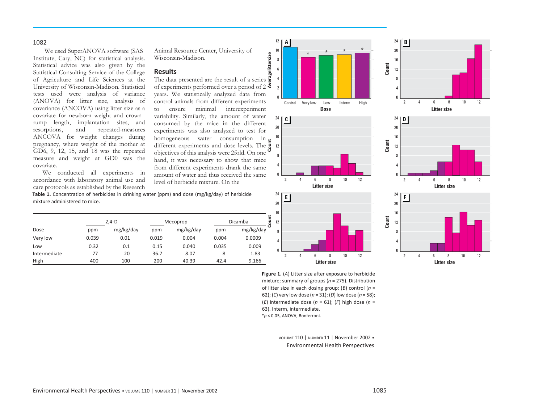#### 1082

We used SuperANOVA software (SAS Institute, Cary, NC) for statistical analysis. Statistical advice was also given by the Statistical Consulting Service of the College of Agriculture and Life Sciences at the University of Wisconsin-Madison. Statistical tests used were analysis of variance (ANOVA) for litter size, analysis of covariance (ANCOVA) using litter size as a covariate for newborn weight and crown– rump length, implantation sites, and resorptions, and repeated-measures ANCOVA for weight changes during pregnancy, where weight of the mother at GD6, 9, 12, 15, and 18 was the repeated measure and weight at GD0 was the covariate.

We conducted all experiments in accordance with laboratory animal use and care protocols as established by the Research Animal Resource Center, University of Wisconsin-Madison.

## **Results**

The data presented are the result of a series of experiments performed over a period of 2  $\bar{\mathcal{Z}}$ years. We statistically analyzed data from control animals from different experiments to ensure minimal interexperiment variability. Similarly, the amount of water consumed by the mice in the different experiments was also analyzed to test for homogeneous water consumption in different experiments and dose levels. The 5 objectives of this analysis were 2fold. On one hand, it was necessary to show that mice from different experiments drank the same amount of water and thus received the same level of herbicide mixture. On the















**Figure 1.** (*A*) Litter size after exposure to herbicide mixture; summary of groups (*n* = 275). Distribution of litter size in each dosing group: (*B*) control (*n* = 62); (*C*) very low dose (*n* = 31); (*D*) low dose (*n* = 58); (*E*) intermediate dose (*n* = 61); (*F*) high dose (*n* = 63). Interm, intermediate. \**p* < 0.05, ANOVA, Bonferroni.

> VOLUME 110 | NUMBER 11 | November 2002 • Environmental Health Perspectives

**Table 1.** Concentration of herbicides in drinking water (ppm) and dose (mg/kg/day) of herbicide mixture administered to mice.

|              | $2.4 - D$ |           | Mecoprop |           | Dicamba |           |
|--------------|-----------|-----------|----------|-----------|---------|-----------|
| Dose         | ppm       | mg/kg/day | ppm      | mg/kg/day | ppm     | mg/kg/day |
| Very low     | 0.039     | 0.01      | 0.019    | 0.004     | 0.004   | 0.0009    |
| Low          | 0.32      | 0.1       | 0.15     | 0.040     | 0.035   | 0.009     |
| Intermediate | 77        | 20        | 36.7     | 8.07      | 8       | 1.83      |
| High         | 400       | 100       | 200      | 40.39     | 42.4    | 9.166     |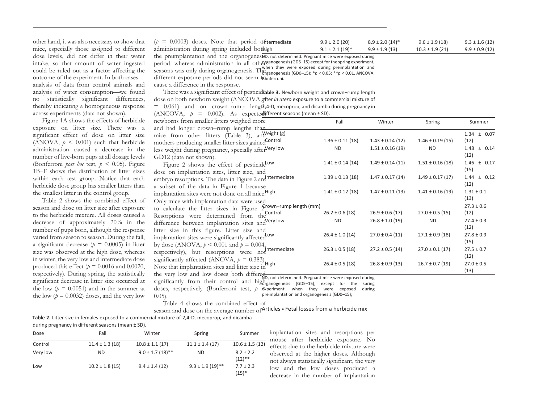| $(p = 0.0003)$ doses. Note that period differmediate                                          | $9.9 \pm 2.0$ (20)  | $8.9 \pm 2.0$ (14)* | $9.6 \pm 1.9$ (18)  | $9.3 \pm 1.6(12)$  |
|-----------------------------------------------------------------------------------------------|---------------------|---------------------|---------------------|--------------------|
| administration during spring included bothigh                                                 | $9.1 \pm 2.1$ (19)* | $9.9 \pm 1.9$ (13)  | $10.3 \pm 1.9$ (21) | $9.9 \pm 0.9$ (12) |
| the preimplantation and the organogenesito, not determined. Pregnant mice were exposed during |                     |                     |                     |                    |

intake, so that amount of water ingested could be ruled out as a factor affecting the outcome of the experiment. In both cases analysis of data from control animals and period, whereas administration in all other seasons was only during organogenesis. The they were exposed during preimplantation and<br>seasons was only during organogenesis. The *ganogenesis (GD0-15)*: \*n < 0.05; \*\*n < 0.01, ANCOVA different exposure periods did not seem to be research organogenesis (GD5–15) except for the spring experiment, organogenesis (GD0–15); \**p* < 0.05; \*\**p* < 0.01, ANCOVA,

cause a difference in the response.

There was a significant effect of pesticidrable 3. Newborn weight and crown-rump length dose on both newborn weight (ANCOVA, after *in utero* exposure to a commercial mixture of  $=$  0.061) and on crown–rump lengt $\Delta$ 4-D, mecoprop, and dicamba during pregnancy in

 $(ANCOVA, p = 0.002)$ . As expected ifferent seasons (mean ± SD).

| Figure 1A shows the effects of herbicide               | newborns from smaller litters weighed more                                                       | Fall                 | Winter               | Spring               | Summer          |
|--------------------------------------------------------|--------------------------------------------------------------------------------------------------|----------------------|----------------------|----------------------|-----------------|
| exposure on litter size. There was a                   | and had longer crown-rump lengths than                                                           |                      |                      |                      |                 |
| significant effect of dose on litter size              | mice from other litters (Table 3), and veight (g)                                                |                      |                      |                      | $1.34 \pm 0.07$ |
| (ANOVA, $p \leq 0.001$ ) such that herbicide           | mothers producing smaller litter sizes gained Control                                            | $1.36 \pm 0.11$ (18) | $1.43 \pm 0.14$ (12) | $1.46 \pm 0.19$ (15) | (12)            |
| administration caused a decrease in the                | less weight during pregnancy, specially after <sup>Very low</sup>                                | <b>ND</b>            | $1.51 \pm 0.16(19)$  | <b>ND</b>            | $1.48 \pm 0.14$ |
| number of live-born pups at all dosage levels          | GD12 (data not shown).                                                                           |                      |                      |                      | (12)            |
| (Bonferroni <i>post hoc</i> test, $p < 0.05$ ). Figure | Figure 2 shows the effect of pesticidelow                                                        | $1.41 \pm 0.14$ (14) | $1.49 \pm 0.14(11)$  | $1.51 \pm 0.16$ (18) | $1.46 \pm 0.17$ |
| 1B–F shows the distribution of litter sizes            | dose on implantation sites, litter size, and                                                     |                      |                      |                      | (15)            |
| within each test group. Notice that each               | embryo resorptions. The data in Figure 2 are ntermediate                                         | $1.39 \pm 0.13$ (18) | $1.47 \pm 0.17$ (14) | $1.49 \pm 0.17(17)$  | $1.44 \pm 0.12$ |
| herbicide dose group has smaller litters than          | a subset of the data in Figure 1 because                                                         |                      |                      |                      | (12)            |
| the smallest litter in the control group.              | implantation sites were not done on all mice. High                                               | $1.41 \pm 0.12$ (18) | $1.47 \pm 0.11$ (13) | $1.41 \pm 0.16(19)$  | $1.31 \pm 0.1$  |
| Table 2 shows the combined effect of                   | Only mice with implantation data were used                                                       |                      |                      |                      | (13)            |
| season and dose on litter size after exposure          | to calculate the litter sizes in Figure $\Sigma$ . Cown-rump length (mm)                         |                      |                      |                      | $27.3 \pm 0.6$  |
| to the herbicide mixture. All doses caused a           | Resorptions were determined from the Control                                                     | $26.2 \pm 0.6$ (18)  | $26.9 \pm 0.6$ (17)  | $27.0 \pm 0.5$ (15)  | (12)            |
| decrease of approximately 20% in the                   | difference between implantation sites and Very low                                               | <b>ND</b>            | $26.8 \pm 1.0$ (19)  | <b>ND</b>            | $27.4 \pm 0.3$  |
| number of pups born, although the response             | litter size in this figure. Litter size and                                                      |                      |                      |                      | (12)            |
| varied from season to season. During the fall,         | implantation sites were significantly affected Low                                               | $26.4 \pm 1.0$ (14)  | $27.0 \pm 0.4(11)$   | $27.1 \pm 0.9$ (18)  | $27.8 \pm 0.9$  |
| a significant decrease ( $p = 0.0005$ ) in litter      | by dose (ANOVA, $p < 0.001$ and $p = 0.004$ ,                                                    |                      |                      |                      | (15)            |
| size was observed at the high dose, whereas            | respectively), but resorptions were not intermediate                                             | $26.3 \pm 0.5$ (18)  | $27.2 \pm 0.5$ (14)  | $27.0 \pm 0.1$ (17)  | $27.5 \pm 0.7$  |
| in winter, the very low and intermediate dose          |                                                                                                  |                      |                      |                      | (12)            |
| produced this effect ( $p = 0.0016$ and 0.0020,        | significantly affected (ANOVA, $p = 0.383$ ).<br>Note that implantation sites and litter size in | $26.4 \pm 0.5$ (18)  | $26.8 \pm 0.9$ (13)  | $26.7 \pm 0.7$ (19)  | $27.0 \pm 0.5$  |
| respectively). During spring, the statistically        | the very low and low doses both differed                                                         |                      |                      |                      | (13)            |
| significant decrease in litter size occurred at        | significantly from their control and high response (GD5-15) event for the spring                 |                      |                      |                      |                 |

 $s$  is the significantly from their control and high  $s$  and  $s$  (GDS-15), except for the spring significantly from their control and high  $s$  and  $s$  (GDS-15), except for the spring doses, respectively (Bonferroni test, p experiment, when they were exposed during 0.05). brganogenesis (GD5–15), except for the spring preimplantation and organogenesis (GD0–15);

Table 4 shows the combined effect of

season and dose on the average number of Articles  $\bullet$  Fetal losses from a herbicide mix **Table 2.** Litter size in females exposed to a commercial mixture of 2,4-D, mecoprop, and dicamba

during pregnancy in different seasons (mean ± SD).

the low  $(p = 0.0051)$  and in the summer at the low  $(p = 0.0032)$  doses, and the very low

other hand, it was also necessary to show that mice, especially those assigned to different dose levels, did not differ in their water

analysis of water consumption—we found no statistically significant differences, thereby indicating a homogeneous response across experiments (data not shown).

| Dose     | Fall                | Winter               | Spring               | Summer                     |
|----------|---------------------|----------------------|----------------------|----------------------------|
| Control  | $11.4 \pm 1.3$ (18) | $10.8 \pm 1.1$ (17)  | $11.1 \pm 1.4(17)$   | $10.6 \pm 1.5$ (12)        |
| Very low | <b>ND</b>           | $9.0 \pm 1.7$ (18)** | <b>ND</b>            | $8.2 \pm 2.2$<br>$(12)$ ** |
| Low      | $10.2 \pm 1.8$ (15) | $9.4 \pm 1.4(12)$    | $9.3 \pm 1.9(19)$ ** | $7.7 \pm 2.3$<br>$(15)^*$  |

implantation sites and resorptions per mouse after herbicide exposure. No effects due to the herbicide mixture were observed at the higher doses. Although not always statistically significant, the very low and the low doses produced a decrease in the number of implantation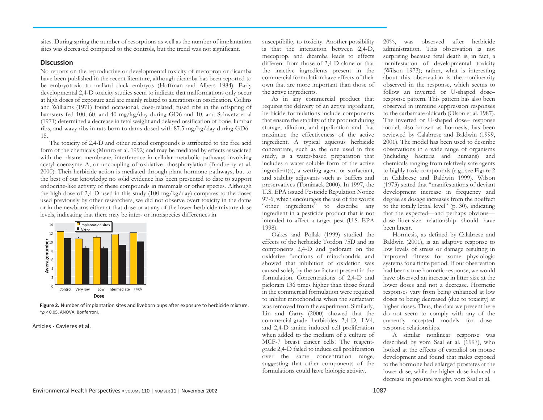sites. During spring the number of resorptions as well as the number of implantation sites was decreased compared to the controls, but the trend was not significant.

#### **Discussion**

No reports on the reproductive or developmental toxicity of mecoprop or dicamba have been published in the recent literature, although dicamba has been reported to be embryotoxic to mallard duck embryos (Hoffman and Albers 1984). Early developmental 2,4-D toxicity studies seem to indicate that malformations only occur at high doses of exposure and are mainly related to alterations in ossification. Collins and Williams (1971) found occasional, dose-related, fused ribs in the offspring of hamsters fed 100, 60, and 40 mg/kg/day during GD6 and 10, and Schwetz et al (1971) determined a decrease in fetal weight and delayed ossification of bone, lumbar ribs, and wavy ribs in rats born to dams dosed with 87.5 mg/kg/day during GD6– 15.

The toxicity of 2,4-D and other related compounds is attributed to the free acid form of the chemicals (Munro et al. 1992) and may be mediated by effects associated with the plasma membrane, interference in cellular metabolic pathways involving acetyl coenzyme A, or uncoupling of oxidative phosphorylation (Bradberry et al. 2000). Their herbicide action is mediated through plant hormone pathways, but to the best of our knowledge no solid evidence has been presented to date to support endocrine-like activity of these compounds in mammals or other species. Although the high dose of 2,4-D used in this study (100 mg/kg/day) compares to the doses used previously by other researchers, we did not observe overt toxicity in the dams or in the newborns either at that dose or at any of the lower herbicide mixture dose levels, indicating that there may be inter- or intraspecies differences in



**Figure 2.** Number of implantation sites and liveborn pups after exposure to herbicide mixture. \**p* < 0.05, ANOVA, Bonferroni.

#### Articles • Cavieres et al.

susceptibility to toxicity. Another possibility is that the interaction between 2,4-D, mecoprop, and dicamba leads to effects different from those of 2,4-D alone or that the inactive ingredients present in the commercial formulation have effects of their own that are more important than those of the active ingredients.

As in any commercial product that requires the delivery of an active ingredient, herbicide formulations include components that ensure the stability of the product during storage, dilution, and application and that maximize the effectiveness of the active ingredient. A typical aqueous herbicide concentrate, such as the one used in this study, is a water-based preparation that includes a water-soluble form of the active ingredient(s), a wetting agent or surfactant, and stability adjuvants such as buffers and preservatives (Tominack 2000). In 1997, the U.S. EPA issued Pesticide Regulation Notice 97-6, which encourages the use of the words "other ingredients" to describe any ingredient in a pesticide product that is not intended to affect a target pest (U.S. EPA 1998).

Oakes and Pollak (1999) studied the effects of the herbicide Tordon 75D and its components 2,4-D and picloram on the oxidative functions of mitochondria and showed that inhibition of oxidation was caused solely by the surfactant present in the formulation. Concentrations of 2,4-D and picloram 136 times higher than those found in the commercial formulation were required to inhibit mitochondria when the surfactant was removed from the experiment. Similarly, Lin and Garry (2000) showed that the commercial-grade herbicides 2,4-D, LV4, and 2,4-D amine induced cell proliferation when added to the medium of a culture of MCF-7 breast cancer cells. The reagentgrade 2,4-D failed to induce cell proliferation over the same concentration range, suggesting that other components of the formulations could have biologic activity.

20%, was observed after herbicide administration. This observation is not surprising because fetal death is, in fact, a manifestation of developmental toxicity (Wilson 1973); rather, what is interesting about this observation is the nonlinearity observed in the response, which seems to follow an inverted or U-shaped dose– response pattern. This pattern has also been observed in immune suppression responses to the carbamate aldicarb (Olson et al. 1987). The inverted or U-shaped dose– response model, also known as hormesis, has been reviewed by Calabrese and Baldwin (1999, 2001). The model has been used to describe observations in a wide range of organisms (including bacteria and humans) and chemicals ranging from relatively safe agents to highly toxic compounds (e.g., see Figure 2 in Calabrese and Baldwin 1999). Wilson (1973) stated that "manifestations of deviant development increase in frequency and degree as dosage increases from the noeffect to the totally lethal level" (p. 30), indicating that the expected—and perhaps obvious dose–litter-size relationship should have been linear.

Hormesis, as defined by Calabrese and Baldwin (2001), is an adaptive response to low levels of stress or damage resulting in improved fitness for some physiologic systems for a finite period. If our observation had been a true hormetic response, we would have observed an increase in litter size at the lower doses and not a decrease. Hormetic responses vary from being enhanced at low doses to being decreased (due to toxicity) at higher doses. Thus, the data we present here do not seem to comply with any of the currently accepted models for dose– response relationships.

A similar nonlinear response was described by vom Saal et al. (1997), who looked at the effects of estradiol on mouse development and found that males exposed to the hormone had enlarged prostates at the lower dose, while the higher dose induced a decrease in prostate weight. vom Saal et al.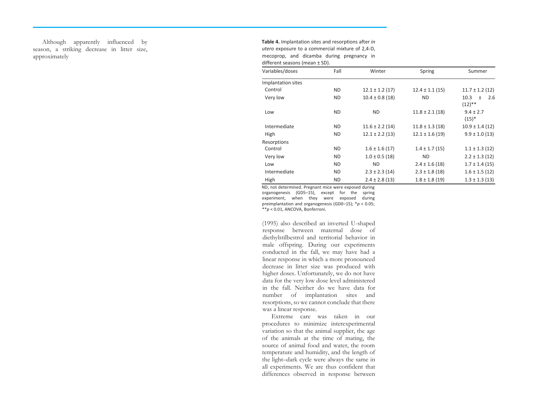Although apparently influenced by season, a striking decrease in litter size, approximately

**Table 4.** Implantation sites and resorptions after *in utero* exposure to a commercial mixture of 2,4 -D, mecoprop, and dicamba during pregnancy in different seasons (mean ± SD).

| Variables/doses    | Fall      | Winter              | Spring              | Summer                                |
|--------------------|-----------|---------------------|---------------------|---------------------------------------|
| Implantation sites |           |                     |                     |                                       |
| Control            | ND.       | $12.1 \pm 1.2$ (17) | $12.4 \pm 1.1(15)$  | $11.7 \pm 1.2$ (12)                   |
| Very low           | <b>ND</b> | $10.4 \pm 0.8$ (18) | <b>ND</b>           | 10.3<br>2.6<br>$\ddot{}$<br>$(12)$ ** |
| Low                | ND.       | ND.                 | $11.8 \pm 2.1$ (18) | $9.4 \pm 2.7$<br>$(15)*$              |
| Intermediate       | <b>ND</b> | $11.6 \pm 2.2$ (14) | $11.8 \pm 1.3$ (18) | $10.9 \pm 1.4(12)$                    |
| High               | ND.       | $12.1 \pm 2.2$ (13) | $12.1 \pm 1.6(19)$  | $9.9 \pm 1.0$ (13)                    |
| Resorptions        |           |                     |                     |                                       |
| Control            | <b>ND</b> | $1.6 \pm 1.6$ (17)  | $1.4 \pm 1.7(15)$   | $1.1 \pm 1.3$ (12)                    |
| Very low           | <b>ND</b> | $1.0 \pm 0.5$ (18)  | <b>ND</b>           | $2.2 \pm 1.3$ (12)                    |
| Low                | <b>ND</b> | <b>ND</b>           | $2.4 \pm 1.6$ (18)  | $1.7 \pm 1.4(15)$                     |
| Intermediate       | ND.       | $2.3 \pm 2.3$ (14)  | $2.3 \pm 1.8$ (18)  | $1.6 \pm 1.5$ (12)                    |
| High               | <b>ND</b> | $2.4 \pm 2.8$ (13)  | $1.8 \pm 1.8$ (19)  | $1.3 \pm 1.3$ (13)                    |

ND, not determined. Pregnant mice were exposed during

organogenesis (GD5 –15), except for the spring experiment, when they were exposed during preimplantation and organogenesis (GD0 –15); \**p* < 0.05; \*\**p* < 0.01, ANCOVA, Bonferroni.

(1995) also described an inverted U -shaped response between maternal dose of diethylstilbestrol and territorial behavior in male offspring. During our experiments conducted in the fall, we may have had a linear response in which a more pronounced decrease in litter size was produced with higher doses. Unfortunately, we do not have data for the very low dose level administered in the fall. Neither do we have data for number of implantation sites and resorptions, so we cannot conclude that there was a linear response.

Extreme care was taken in our procedures to minimize interexperimental variation so that the animal supplier, the age of the animals at the time of mating, the source of animal food and water, the room temperature and humidity, and the length of the light–dark cycle were always the same in all experiments. We are thus confident that differences observed in response between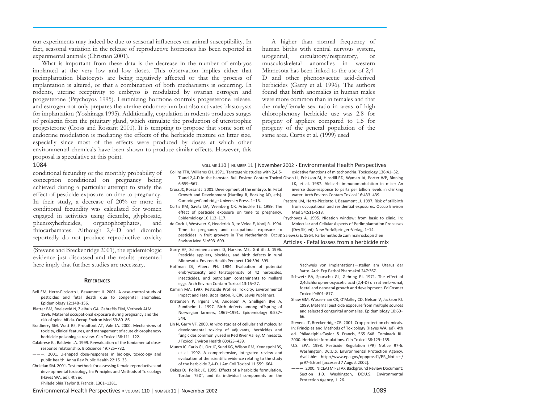our experiments may indeed be due to seasonal influences on animal susceptibility. In fact, seasonal variation in the release of reproductive hormones has been reported in experimental animals (Christian 2001).

What is important from these data is the decrease in the number of embryos implanted at the very low and low doses. This observation implies either that preimplantation blastocysts are being negatively affected or that the process of implantation is altered, or that a combination of both mechanisms is occurring. In rodents, uterine receptivity to embryos is modulated by ovarian estrogen and progesterone (Psychoyos 1995). Leutinizing hormone controls progesterone release, and estrogen not only prepares the uterine endometrium but also activates blastocysts for implantation (Yoshinaga 1995). Additionally, copulation in rodents produces surges of prolactin from the pituitary gland, which stimulate the production of uterotrophic progesterone (Cross and Rossant 2001). It is tempting to propose that some sort of endocrine modulation is mediating the effects of the herbicide mixture on litter size, especially since most of the effects were produced by doses at which other environmental chemicals have been shown to produce similar effects. However, this proposal is speculative at this point.

### A higher than normal frequency of human births with central nervous system, urogenital, circulatory/respiratory, or musculoskeletal anomalies in western Minnesota has been linked to the use of 2,4- D and other phenoxyacetic acid-derived herbicides (Garry et al. 1996). The authors found that birth anomalies in human males were more common than in females and that the male/female sex ratio in areas of high chlorophenoxy herbicide use was 2.8 for progeny of appliers compared to 1.5 for progeny of the general population of the same area. Curtis et al. (1999) used

| $P = 0$ , $P = 0$ , $P = 0$ , $P = 0$ , $P = 0$ , $P = 0$<br>1084                                                                                                                                                                                                                                                                                                                                                                                                                                                                                                                                                                                                                                                                                                                                                                                                                                                                                                                         |                                                                                                                                                                                                                                                                                                                                                                                                                                                                                                                                                                                                                                                                                                                                                                                                                                                                                                                                                                                                                                                                                                                                                                                                                                                                                                                                                                                                                                                                                                                                                                                                                                                                                                                                                                                                            |
|-------------------------------------------------------------------------------------------------------------------------------------------------------------------------------------------------------------------------------------------------------------------------------------------------------------------------------------------------------------------------------------------------------------------------------------------------------------------------------------------------------------------------------------------------------------------------------------------------------------------------------------------------------------------------------------------------------------------------------------------------------------------------------------------------------------------------------------------------------------------------------------------------------------------------------------------------------------------------------------------|------------------------------------------------------------------------------------------------------------------------------------------------------------------------------------------------------------------------------------------------------------------------------------------------------------------------------------------------------------------------------------------------------------------------------------------------------------------------------------------------------------------------------------------------------------------------------------------------------------------------------------------------------------------------------------------------------------------------------------------------------------------------------------------------------------------------------------------------------------------------------------------------------------------------------------------------------------------------------------------------------------------------------------------------------------------------------------------------------------------------------------------------------------------------------------------------------------------------------------------------------------------------------------------------------------------------------------------------------------------------------------------------------------------------------------------------------------------------------------------------------------------------------------------------------------------------------------------------------------------------------------------------------------------------------------------------------------------------------------------------------------------------------------------------------------|
| conditional fecundity or the monthly probability of<br>conception conditional on pregnancy being<br>achieved during a particular attempt to study the<br>effect of pesticide exposure on time to pregnancy.<br>In their study, a decrease of $20\%$ or more in<br>conditional fecundity was calculated for women<br>engaged in activities using dicamba, glyphosate,<br>phenoxyherbicides,<br>organophosphates,<br>and<br>thiocarbamates. Although 2,4-D and dicamba<br>reportedly do not produce reproductive toxicity                                                                                                                                                                                                                                                                                                                                                                                                                                                                   | VOLUME 110   NUMBER 11   November 2002 • Environmental Health Perspectives<br>Collins TFX, Williams CH. 1971. Teratogenic studies with 2,4,5-<br>oxidative functions of mitochondria. Toxicology 136:41-52.<br>T and 2,4-D in the hamster. Bull Environ Contam Toxicol Olson LJ, Erickson BJ, Hinsdill RD, Wyman JA, Porter WP, Binning<br>$6:559 - 567.$<br>LK, et al. 1987. Aldicarb immunomodulation in mice: An<br>Cross JC, Rossant J. 2001. Development of the embryo. In: Fetal<br>inverse dose-response to parts per billion levels in drinking<br>Growth and Development (Harding R, Bocking AD, eds).<br>water. Arch Environ Contam Toxicol 16:433-439.<br>Cambridge:Cambridge University Press, 1-16.<br>Pastore LM, Hertz-Picciotto I, Beaumont JJ. 1997. Risk of stillbirth<br>Curtis KM, Savitz DA, Weinberg CR, Arbuckle TE. 1999. The<br>from occupational and residential exposures. Occup Environ<br>effect of pesticide exposure on time to pregnancy.<br>Med 54:511-518.<br>Epidemiology 10:112-117.<br>Psychoyos A. 1995. Nidation window: from basic to clinic. In:<br>de Cock J, Westveer K, Heederick D, te Velde E, Kooij R. 1994.<br>Molecular and Cellular Aspects of Periimplantation Processes<br>Time to pregnancy and occupational exposure to<br>(Dey SK, ed). New York:Springer-Verlag, 1-14.<br>pesticides in fruit growers in The Netherlands. Occup Salewski E. 1964. Färbemethode zum makroskopischen<br>Environ Med 51:693-699.<br>Articles • Fetal losses from a herbicide mix                                                                                                                                                                                                                                                                                      |
| (Stevens and Breckenridge 2001), the epidemiologic<br>evidence just discussed and the results presented<br>here imply that further studies are necessary.<br><b>REFERENCES</b>                                                                                                                                                                                                                                                                                                                                                                                                                                                                                                                                                                                                                                                                                                                                                                                                            | Garry VF, Schreinemachers D, Harkins ME, Griffith J. 1996.<br>Pesticide appliers, biocides, and birth defects in rural<br>Minnesota. Environ Health Perspect 104:394-399.<br>Nachweis von Implantations-stellen am Uterus der<br>Hoffman DJ, Albers PH. 1984. Evaluation of potential<br>Ratte. Arch Exp Pathol Pharmakol 247:367.<br>embryotoxicity and teratogenicity of 42 herbicides,<br>Schwetz BA, Sparschu GL, Gehring PJ. 1971. The effect of<br>insecticides, and petroleum contaminants to mallard<br>2,4dichlorophenoxyacetic acid (2,4-D) on rat embryonal,<br>eggs. Arch Environ Contam Toxicol 13:15-27.                                                                                                                                                                                                                                                                                                                                                                                                                                                                                                                                                                                                                                                                                                                                                                                                                                                                                                                                                                                                                                                                                                                                                                                     |
| Bell EM, Hertz-Picciotto I, Beaumont JJ. 2001. A case-control study of<br>pesticides and fetal death due to congenital anomalies.<br>Epidemiology 12:148-156.<br>Blatter BM, Roeleveld N, Zielhuis GA, Gabreëls FJM, Verbeek ALM.<br>1996. Maternal occupational exposure during pregnancy and the<br>risk of spina bifida. Occup Environ Med 53:80-86.<br>Bradberry SM, Watt BE, Proudfoot AT, Vale JA. 2000. Mechanisms of<br>toxicity, clinical features, and management of acute chlorophenoxy<br>herbicide poisoning: a review. Clin Toxicol 38:111-122.<br>Calabrese EJ, Baldwin LA. 1999. Reevaluation of the fundamental dose-<br>response relationship. BioScience 49:725-732.<br>$---$ . 2001. U-shaped dose-responses in biology, toxicology and<br>public health. Annu Rev Public Health 22:15-33.<br>Christian SM. 2001. Test methods for assessing female reproductive and<br>developmental toxicology. In: Principles and Methods of Toxicology<br>(Hayes WA, ed). 4th ed. | foetal and neonatal growth and development. Fd Cosmet<br>Kamrin MA. 1997. Pesticide Profiles. Toxicity, Environmental<br>Toxicol 9:801-817.<br>Impact and Fate. Boca Raton, FL:CRC Lewis Publishers.<br>Shaw GM, Wasserman CR, O'Malley CD, Nelson V, Jackson RJ.<br>Kristensen P, Irgens LM, Andersen A, Snelligen Bye A,<br>1999. Maternal pesticide exposure from multiple sources<br>Sundheim L. 1997. Birth defects among offspring of<br>and selected congenital anomalies. Epidemiology 10:60-<br>Norwegian farmers, 1967-1991. Epidemiology 8:537-<br>66.<br>544.<br>Stevens JT, Breckenridge CB. 2001. Crop protection chemicals.<br>Lin N, Garry VF. 2000. In vitro studies of cellular and molecular<br>In: Principles and Methods of Toxicology (Hayes WA, ed). 4th<br>developmental toxicity of adjuvants, herbicides and<br>ed. Philadelphia:Taylor & Francis, 565-648. Tominack RL.<br>fungicides commonly used in Red River Valley, Minnesota.<br>2000. Herbicide formulations. Clin Toxicol 38:129-135.<br>J Toxicol Environ Health 60:423-439.<br>U.S. EPA. 1998. Pesticide Regulation (PR) Notice 97-6.<br>Munro IC, Carlo GL, Orr JC, Sund KG, Wilson RM, Kennepohl BS,<br>Washington, DC:U.S. Environmental Protection Agency.<br>et al. 1992. A comprehensive, integrated review and<br>Available: http://www.epa.gov/opppmsd1/PR Notices/<br>evaluation of the scientific evidence relating to the study<br>pr97-6.html [accessed 7 August 2002].<br>of the herbicide 2,4-D. J Am Coll Toxicol 11:559-664.<br>--- 2000. NICEATM FETAX Background Review Document:<br>Oakes DJ, Pollak JK. 1999. Effects of a herbicide formulation,<br>Section 1.0. Washington, DC:U.S. Environmental<br>Tordon 75D <sup>°</sup> , and its individual components on the<br>Protection Agency, 1-26. |

Philadelphia:Taylor & Francis, 1301–1381.

Environmental Health Perspectives • VOLUME 110 | NUMBER 11 | November 2002 1089 1089 1089